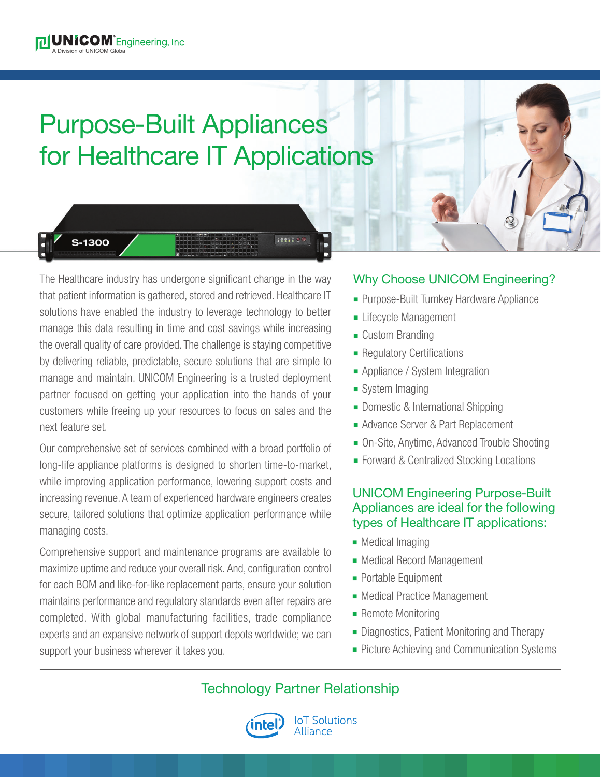## Purpose-Built Appliances for Healthcare IT Applications



S-1300

The Healthcare industry has undergone significant change in the way that patient information is gathered, stored and retrieved. Healthcare IT solutions have enabled the industry to leverage technology to better manage this data resulting in time and cost savings while increasing the overall quality of care provided. The challenge is staying competitive by delivering reliable, predictable, secure solutions that are simple to manage and maintain. UNICOM Engineering is a trusted deployment partner focused on getting your application into the hands of your customers while freeing up your resources to focus on sales and the next feature set.

Our comprehensive set of services combined with a broad portfolio of long-life appliance platforms is designed to shorten time-to-market, while improving application performance, lowering support costs and increasing revenue. A team of experienced hardware engineers creates secure, tailored solutions that optimize application performance while managing costs.

Comprehensive support and maintenance programs are available to maximize uptime and reduce your overall risk. And, configuration control for each BOM and like-for-like replacement parts, ensure your solution maintains performance and regulatory standards even after repairs are completed. With global manufacturing facilities, trade compliance experts and an expansive network of support depots worldwide; we can support your business wherever it takes you.

## Why Choose UNICOM Engineering?

- **Purpose-Built Turnkey Hardware Appliance**
- **Example 2** Lifecycle Management
- **Custom Branding**
- Regulatory Certifications
- Appliance / System Integration
- $\blacksquare$  System Imaging
- Domestic & International Shipping
- Advance Server & Part Replacement
- On-Site, Anytime, Advanced Trouble Shooting
- Forward & Centralized Stocking Locations

## UNICOM Engineering Purpose-Built Appliances are ideal for the following types of Healthcare IT applications:

- Medical Imaging
- Medical Record Management
- Portable Equipment
- Medical Practice Management
- Remote Monitoring
- **-** Diagnostics, Patient Monitoring and Therapy
- Picture Achieving and Communication Systems

Technology Partner Relationship

1441199



**IoT Solutions Alliance**